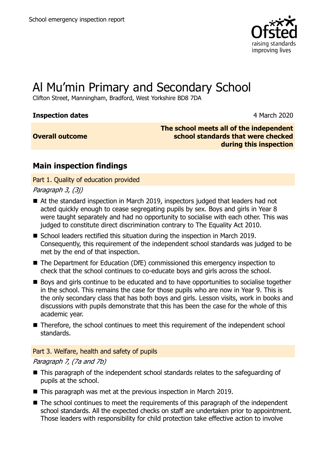

# Al Mu'min Primary and Secondary School

Clifton Street, Manningham, Bradford, West Yorkshire BD8 7DA

### **Inspection dates** 4 March 2020

### **Overall outcome**

**The school meets all of the independent school standards that were checked during this inspection**

## **Main inspection findings**

Part 1. Quality of education provided

### Paragraph 3, (3j)

- At the standard inspection in March 2019, inspectors judged that leaders had not acted quickly enough to cease segregating pupils by sex. Boys and girls in Year 8 were taught separately and had no opportunity to socialise with each other. This was judged to constitute direct discrimination contrary to The Equality Act 2010.
- School leaders rectified this situation during the inspection in March 2019. Consequently, this requirement of the independent school standards was judged to be met by the end of that inspection.
- The Department for Education (DfE) commissioned this emergency inspection to check that the school continues to co-educate boys and girls across the school.
- Boys and girls continue to be educated and to have opportunities to socialise together in the school. This remains the case for those pupils who are now in Year 9. This is the only secondary class that has both boys and girls. Lesson visits, work in books and discussions with pupils demonstrate that this has been the case for the whole of this academic year.
- Therefore, the school continues to meet this requirement of the independent school standards.

#### Part 3. Welfare, health and safety of pupils

#### Paragraph 7, (7a and 7b)

- This paragraph of the independent school standards relates to the safeguarding of pupils at the school.
- This paragraph was met at the previous inspection in March 2019.
- The school continues to meet the requirements of this paragraph of the independent school standards. All the expected checks on staff are undertaken prior to appointment. Those leaders with responsibility for child protection take effective action to involve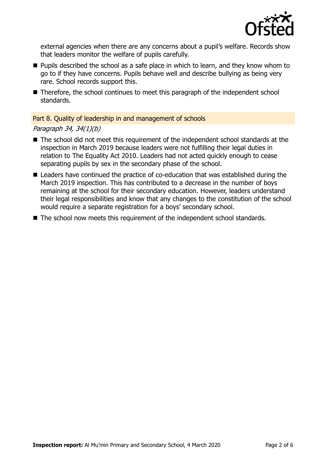

external agencies when there are any concerns about a pupil's welfare. Records show that leaders monitor the welfare of pupils carefully.

- $\blacksquare$  Pupils described the school as a safe place in which to learn, and they know whom to go to if they have concerns. Pupils behave well and describe bullying as being very rare. School records support this.
- Therefore, the school continues to meet this paragraph of the independent school standards.

#### Part 8. Quality of leadership in and management of schools

#### Paragraph 34, 34(1)(b)

- The school did not meet this requirement of the independent school standards at the inspection in March 2019 because leaders were not fulfilling their legal duties in relation to The Equality Act 2010. Leaders had not acted quickly enough to cease separating pupils by sex in the secondary phase of the school.
- Leaders have continued the practice of co-education that was established during the March 2019 inspection. This has contributed to a decrease in the number of boys remaining at the school for their secondary education. However, leaders understand their legal responsibilities and know that any changes to the constitution of the school would require a separate registration for a boys' secondary school.
- The school now meets this requirement of the independent school standards.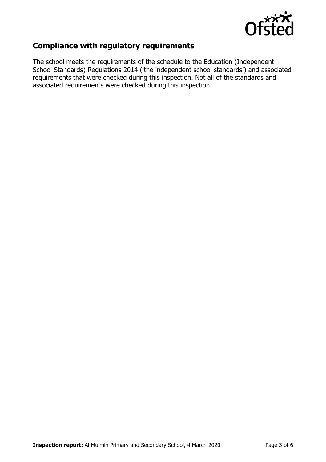

## **Compliance with regulatory requirements**

The school meets the requirements of the schedule to the Education (Independent School Standards) Regulations 2014 ('the independent school standards') and associated requirements that were checked during this inspection. Not all of the standards and associated requirements were checked during this inspection.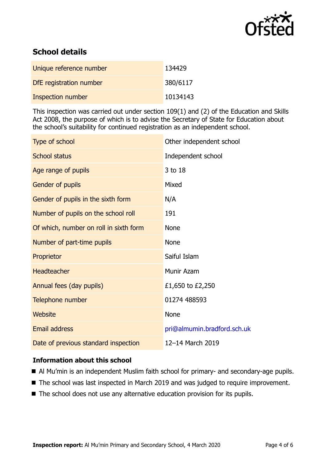

## **School details**

| Unique reference number  | 134429   |
|--------------------------|----------|
| DfE registration number  | 380/6117 |
| <b>Inspection number</b> | 10134143 |

This inspection was carried out under section 109(1) and (2) of the Education and Skills Act 2008, the purpose of which is to advise the Secretary of State for Education about the school's suitability for continued registration as an independent school.

| Type of school                         | Other independent school    |
|----------------------------------------|-----------------------------|
| <b>School status</b>                   | Independent school          |
| Age range of pupils                    | 3 to 18                     |
| Gender of pupils                       | Mixed                       |
| Gender of pupils in the sixth form     | N/A                         |
| Number of pupils on the school roll    | 191                         |
| Of which, number on roll in sixth form | <b>None</b>                 |
| Number of part-time pupils             | <b>None</b>                 |
| Proprietor                             | Saiful Islam                |
| <b>Headteacher</b>                     | <b>Munir Azam</b>           |
| Annual fees (day pupils)               | £1,650 to £2,250            |
| Telephone number                       | 01274 488593                |
| <b>Website</b>                         | <b>None</b>                 |
| <b>Email address</b>                   | pri@almumin.bradford.sch.uk |
| Date of previous standard inspection   | 12-14 March 2019            |

#### **Information about this school**

- Al Mu'min is an independent Muslim faith school for primary- and secondary-age pupils.
- The school was last inspected in March 2019 and was judged to require improvement.
- The school does not use any alternative education provision for its pupils.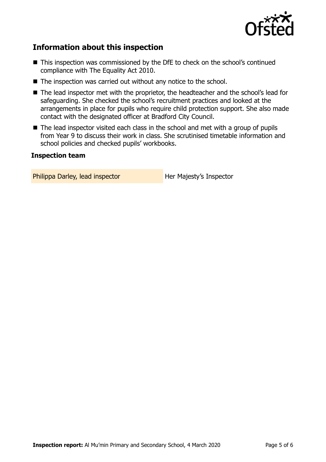

## **Information about this inspection**

- This inspection was commissioned by the DfE to check on the school's continued compliance with The Equality Act 2010.
- The inspection was carried out without any notice to the school.
- The lead inspector met with the proprietor, the headteacher and the school's lead for safeguarding. She checked the school's recruitment practices and looked at the arrangements in place for pupils who require child protection support. She also made contact with the designated officer at Bradford City Council.
- The lead inspector visited each class in the school and met with a group of pupils from Year 9 to discuss their work in class. She scrutinised timetable information and school policies and checked pupils' workbooks.

#### **Inspection team**

Philippa Darley, lead inspector **Her Majesty's Inspector**